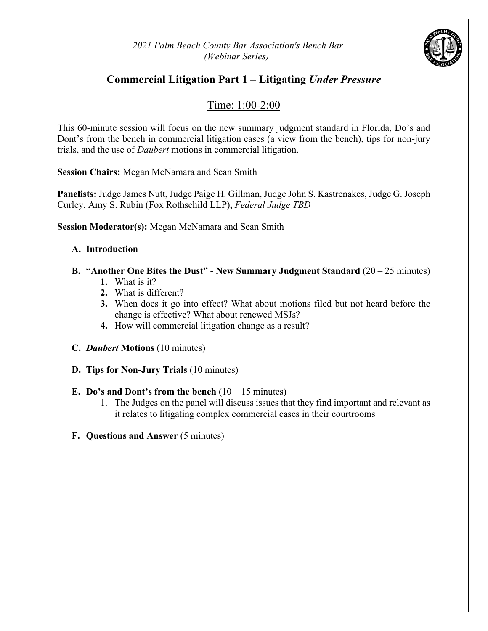*2021 Palm Beach County Bar Association's Bench Bar (Webinar Series)*



## **Commercial Litigation Part 1 – Litigating** *Under Pressure*

## Time: 1:00-2:00

This 60-minute session will focus on the new summary judgment standard in Florida, Do's and Dont's from the bench in commercial litigation cases (a view from the bench), tips for non-jury trials, and the use of *Daubert* motions in commercial litigation.

**Session Chairs:** Megan McNamara and Sean Smith

**Panelists:** Judge James Nutt, Judge Paige H. Gillman, Judge John S. Kastrenakes, Judge G. Joseph Curley, Amy S. Rubin (Fox Rothschild LLP)**,** *Federal Judge TBD*

**Session Moderator(s):** Megan McNamara and Sean Smith

#### **A. Introduction**

### **B. "Another One Bites the Dust" - New Summary Judgment Standard** (20 – 25 minutes)

- **1.** What is it?
- **2.** What is different?
- **3.** When does it go into effect? What about motions filed but not heard before the change is effective? What about renewed MSJs?
- **4.** How will commercial litigation change as a result?
- **C.** *Daubert* **Motions** (10 minutes)
- **D. Tips for Non-Jury Trials** (10 minutes)

#### **E.** Do's and Dont's from the bench  $(10 - 15 \text{ minutes})$

- 1. The Judges on the panel will discuss issues that they find important and relevant as it relates to litigating complex commercial cases in their courtrooms
- **F. Questions and Answer** (5 minutes)